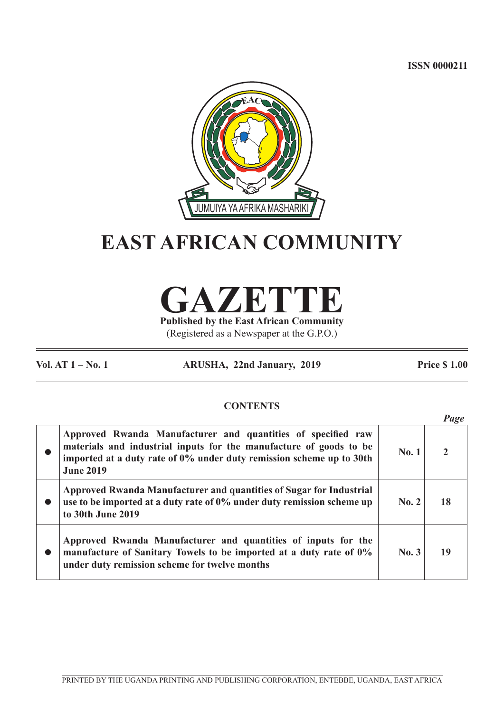**ISSN 0000211**



# **EAST AFRICAN COMMUNITY**

**GAZETTE Published by the East African Community**

(Registered as a Newspaper at the G.P.O.)

**Vol. AT 1 – No. 1 ARUSHA, 22nd January, 2019 Price \$ 1.00**

*Page*

# **CONTENTS**

|                                                                                                                                                                                                                                |              | rage |
|--------------------------------------------------------------------------------------------------------------------------------------------------------------------------------------------------------------------------------|--------------|------|
| Approved Rwanda Manufacturer and quantities of specified raw<br>materials and industrial inputs for the manufacture of goods to be<br>imported at a duty rate of 0% under duty remission scheme up to 30th<br><b>June 2019</b> | <b>No. 1</b> |      |
| Approved Rwanda Manufacturer and quantities of Sugar for Industrial<br>use to be imported at a duty rate of 0% under duty remission scheme up<br>to 30th June 2019                                                             | No. 2        | 18   |
| Approved Rwanda Manufacturer and quantities of inputs for the<br>manufacture of Sanitary Towels to be imported at a duty rate of 0%<br>under duty remission scheme for twelve months                                           | No.3         | 19   |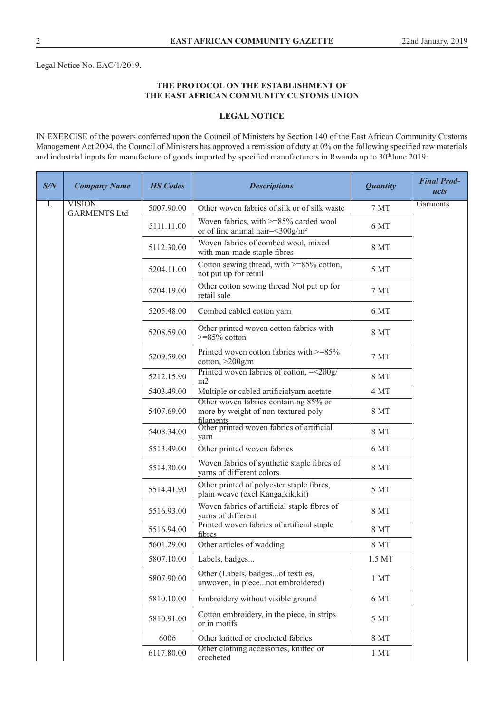Legal Notice No. EAC/1/2019.

## **THE PROTOCOL ON THE ESTABLISHMENT OF THE EAST AFRICAN COMMUNITY CUSTOMS UNION**

## **LEGAL NOTICE**

IN EXERCISE of the powers conferred upon the Council of Ministers by Section 140 of the East African Community Customs Management Act 2004, the Council of Ministers has approved a remission of duty at 0% on the following specified raw materials and industrial inputs for manufacture of goods imported by specified manufacturers in Rwanda up to 30<sup>th</sup>June 2019:

| S/N | <b>Company Name</b>                  | <b>HS Codes</b> | <b>Descriptions</b>                                                                       | <b>Quantity</b>  | <b>Final Prod-</b><br>ucts |
|-----|--------------------------------------|-----------------|-------------------------------------------------------------------------------------------|------------------|----------------------------|
| 1.  | <b>VISION</b><br><b>GARMENTS Ltd</b> | 5007.90.00      | Other woven fabrics of silk or of silk waste                                              | $7\,\mathrm{MT}$ | Garments                   |
|     |                                      | 5111.11.00      | Woven fabrics, with >=85% carded wool<br>or of fine animal hair=<300g/m <sup>2</sup>      | 6 MT             |                            |
|     |                                      | 5112.30.00      | Woven fabrics of combed wool, mixed<br>with man-made staple fibres                        | 8 MT             |                            |
|     |                                      | 5204.11.00      | Cotton sewing thread, with >=85% cotton,<br>not put up for retail                         | 5 MT             |                            |
|     |                                      | 5204.19.00      | Other cotton sewing thread Not put up for<br>retail sale                                  | 7 MT             |                            |
|     |                                      | 5205.48.00      | Combed cabled cotton yarn                                                                 | 6 MT             |                            |
|     |                                      | 5208.59.00      | Other printed woven cotton fabrics with<br>$>=85\%$ cotton                                | <b>8 MT</b>      |                            |
|     |                                      | 5209.59.00      | Printed woven cotton fabrics with >=85%<br>cotton, $>200$ g/m                             | 7 MT             |                            |
|     |                                      | 5212.15.90      | Printed woven fabrics of cotton, $=<200g$ /<br>m2                                         | 8 MT             |                            |
|     |                                      | 5403.49.00      | Multiple or cabled artificialyarn acetate                                                 | 4 MT             |                            |
|     |                                      | 5407.69.00      | Other woven fabrics containing 85% or<br>more by weight of non-textured poly<br>filaments | 8 MT             |                            |
|     |                                      | 5408.34.00      | Other printed woven fabrics of artificial<br>yarn                                         | 8 MT             |                            |
|     |                                      | 5513.49.00      | Other printed woven fabrics                                                               | 6 MT             |                            |
|     |                                      | 5514.30.00      | Woven fabrics of synthetic staple fibres of<br>yarns of different colors                  | 8 MT             |                            |
|     |                                      | 5514.41.90      | Other printed of polyester staple fibres,<br>plain weave (excl Kanga, kik, kit)           | 5 MT             |                            |
|     |                                      | 5516.93.00      | Woven fabrics of artificial staple fibres of<br>yarns of different                        | 8 MT             |                            |
|     |                                      | 5516.94.00      | Printed woven fabrics of artificial staple<br>fibres                                      | <b>8 MT</b>      |                            |
|     |                                      | 5601.29.00      | Other articles of wadding                                                                 | <b>8 MT</b>      |                            |
|     |                                      | 5807.10.00      | Labels, badges                                                                            | 1.5 MT           |                            |
|     |                                      | 5807.90.00      | Other (Labels, badgesof textiles,<br>unwoven, in piecenot embroidered)                    | 1 <sub>MT</sub>  |                            |
|     |                                      | 5810.10.00      | Embroidery without visible ground                                                         | 6 MT             |                            |
|     |                                      | 5810.91.00      | Cotton embroidery, in the piece, in strips<br>or in motifs                                | 5 MT             |                            |
|     |                                      | 6006            | Other knitted or crocheted fabrics                                                        | <b>8 MT</b>      |                            |
|     |                                      | 6117.80.00      | Other clothing accessories, knitted or<br>crocheted                                       | 1 <sub>MT</sub>  |                            |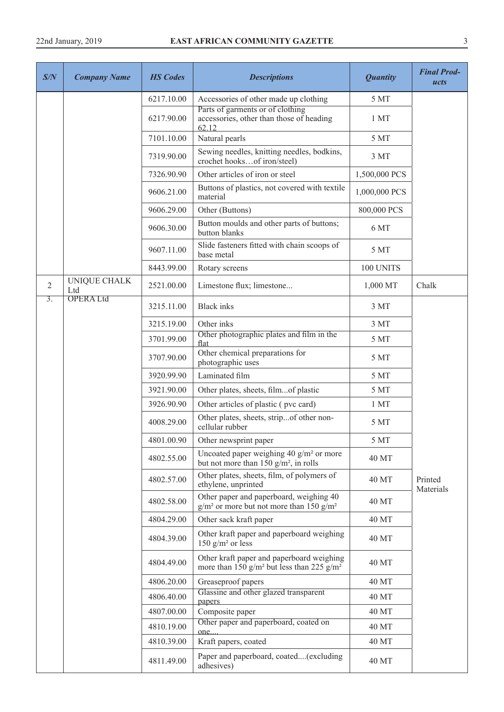| S/N              | <b>Company Name</b> | <b>HS</b> Codes | <b>Descriptions</b>                                                                                            | <b>Quantity</b> | <b>Final Prod-</b><br>ucts |
|------------------|---------------------|-----------------|----------------------------------------------------------------------------------------------------------------|-----------------|----------------------------|
|                  |                     | 6217.10.00      | Accessories of other made up clothing                                                                          | 5 MT            |                            |
|                  |                     | 6217.90.00      | Parts of garments or of clothing<br>accessories, other than those of heading<br>62.12                          | 1 MT            |                            |
|                  |                     | 7101.10.00      | Natural pearls                                                                                                 | 5 MT            |                            |
|                  |                     | 7319.90.00      | Sewing needles, knitting needles, bodkins,<br>crochet hooksof iron/steel)                                      | 3 MT            |                            |
|                  |                     | 7326.90.90      | Other articles of iron or steel                                                                                | 1,500,000 PCS   |                            |
|                  |                     | 9606.21.00      | Buttons of plastics, not covered with textile<br>material                                                      | 1,000,000 PCS   |                            |
|                  |                     | 9606.29.00      | Other (Buttons)                                                                                                | 800,000 PCS     |                            |
|                  |                     | 9606.30.00      | Button moulds and other parts of buttons;<br>button blanks                                                     | 6 MT            |                            |
|                  |                     | 9607.11.00      | Slide fasteners fitted with chain scoops of<br>base metal                                                      | 5 MT            |                            |
|                  |                     | 8443.99.00      | Rotary screens                                                                                                 | 100 UNITS       |                            |
| $\overline{2}$   | UNIQUE CHALK<br>Ltd | 2521.00.00      | Limestone flux; limestone                                                                                      | 1,000 MT        | Chalk                      |
| $\overline{3}$ . | <b>OPERALtd</b>     | 3215.11.00      | <b>Black</b> inks                                                                                              | 3 MT            |                            |
|                  |                     | 3215.19.00      | Other inks                                                                                                     | 3 MT            |                            |
|                  |                     | 3701.99.00      | Other photographic plates and film in the<br>flat                                                              | 5 MT            |                            |
|                  |                     | 3707.90.00      | Other chemical preparations for<br>photographic uses                                                           | 5 MT            |                            |
|                  |                     | 3920.99.90      | Laminated film                                                                                                 | 5 MT            |                            |
|                  |                     | 3921.90.00      | Other plates, sheets, filmof plastic                                                                           | 5 MT            |                            |
|                  |                     | 3926.90.90      | Other articles of plastic (pvc card)                                                                           | 1 MT            |                            |
|                  |                     | 4008.29.00      | Other plates, sheets, stripof other non-<br>cellular rubber                                                    | 5 MT            |                            |
|                  |                     | 4801.00.90      | Other newsprint paper                                                                                          | 5 MT            |                            |
|                  |                     | 4802.55.00      | Uncoated paper weighing 40 g/m <sup>2</sup> or more<br>but not more than 150 $g/m^2$ , in rolls                | <b>40 MT</b>    |                            |
|                  |                     | 4802.57.00      | Other plates, sheets, film, of polymers of<br>ethylene, unprinted                                              | 40 MT           | Printed<br>Materials       |
|                  |                     | 4802.58.00      | Other paper and paperboard, weighing 40<br>$g/m2$ or more but not more than 150 $g/m2$                         | 40 MT           |                            |
|                  |                     | 4804.29.00      | Other sack kraft paper                                                                                         | 40 MT           |                            |
|                  |                     | 4804.39.00      | Other kraft paper and paperboard weighing<br>150 $g/m^2$ or less                                               | 40 MT           |                            |
|                  |                     | 4804.49.00      | Other kraft paper and paperboard weighing<br>more than 150 g/m <sup>2</sup> but less than 225 g/m <sup>2</sup> | 40 MT           |                            |
|                  |                     | 4806.20.00      | Greaseproof papers                                                                                             | 40 MT           |                            |
|                  |                     | 4806.40.00      | Glassine and other glazed transparent                                                                          | <b>40 MT</b>    |                            |
|                  |                     | 4807.00.00      | papers<br>Composite paper                                                                                      | 40 MT           |                            |
|                  |                     | 4810.19.00      | Other paper and paperboard, coated on                                                                          | 40 MT           |                            |
|                  |                     | 4810.39.00      | one<br>Kraft papers, coated                                                                                    | 40 MT           |                            |
|                  |                     | 4811.49.00      | Paper and paperboard, coated(excluding<br>adhesives)                                                           | 40 MT           |                            |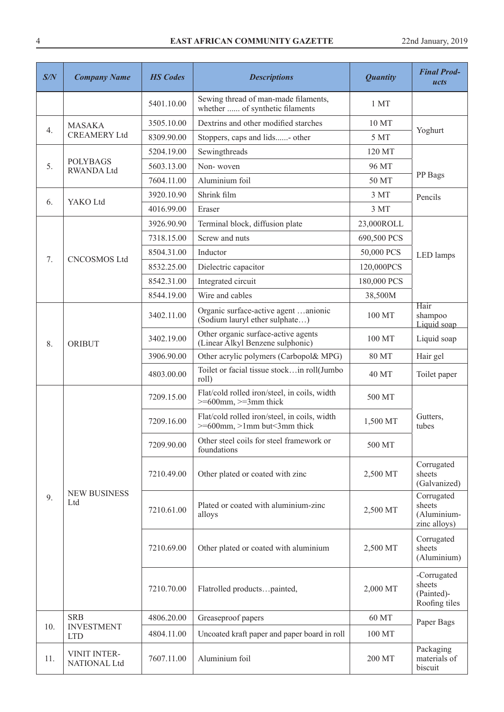| S/N | <b>Company Name</b>                  | <b>HS Codes</b> | <b>Descriptions</b>                                                                      | <b>Quantity</b> | <b>Final Prod-</b><br>ucts                           |
|-----|--------------------------------------|-----------------|------------------------------------------------------------------------------------------|-----------------|------------------------------------------------------|
|     |                                      | 5401.10.00      | Sewing thread of man-made filaments,<br>whether  of synthetic filaments                  | 1 MT            |                                                      |
|     | <b>MASAKA</b>                        | 3505.10.00      | Dextrins and other modified starches                                                     | 10 MT           |                                                      |
| 4.  | <b>CREAMERY Ltd</b>                  | 8309.90.00      | Stoppers, caps and lids- other                                                           | 5 MT            | Yoghurt                                              |
|     |                                      | 5204.19.00      | Sewingthreads                                                                            | 120 MT          |                                                      |
| 5.  | <b>POLYBAGS</b><br><b>RWANDA Ltd</b> | 5603.13.00      | Non-woven                                                                                | 96 MT           |                                                      |
|     | 7604.11.00                           | Aluminium foil  | 50 MT                                                                                    | PP Bags         |                                                      |
|     |                                      | 3920.10.90      | Shrink film                                                                              | 3 MT            | Pencils                                              |
| 6.  | YAKO Ltd                             | 4016.99.00      | Eraser                                                                                   | 3 MT            |                                                      |
|     |                                      | 3926.90.90      | Terminal block, diffusion plate                                                          | 23,000ROLL      |                                                      |
|     |                                      | 7318.15.00      | Screw and nuts                                                                           | 690,500 PCS     |                                                      |
| 7.  | <b>CNCOSMOS Ltd</b>                  | 8504.31.00      | Inductor                                                                                 | 50,000 PCS      | <b>LED</b> lamps                                     |
|     |                                      | 8532.25.00      | Dielectric capacitor                                                                     | 120,000PCS      |                                                      |
|     |                                      | 8542.31.00      | Integrated circuit                                                                       | 180,000 PCS     |                                                      |
|     |                                      | 8544.19.00      | Wire and cables                                                                          | 38,500M         |                                                      |
|     | <b>ORIBUT</b>                        | 3402.11.00      | Organic surface-active agent anionic<br>(Sodium lauryl ether sulphate)                   | 100 MT          | Hair<br>shampoo<br>Liquid soap                       |
| 8.  |                                      | 3402.19.00      | Other organic surface-active agents<br>(Linear Alkyl Benzene sulphonic)                  | 100 MT          | Liquid soap                                          |
|     |                                      | 3906.90.00      | Other acrylic polymers (Carbopol& MPG)                                                   | 80 MT           | Hair gel                                             |
|     |                                      | 4803.00.00      | Toilet or facial tissue stockin roll(Jumbo<br>roll)                                      | 40 MT           | Toilet paper                                         |
|     |                                      | 7209.15.00      | Flat/cold rolled iron/steel, in coils, width<br>$\geq$ =600mm, $\geq$ =3mm thick         | 500 MT          |                                                      |
|     |                                      | 7209.16.00      | Flat/cold rolled iron/steel, in coils, width<br>$>= 600$ mm, $> 1$ mm but $< 3$ mm thick | 1,500 MT        | Gutters,<br>tubes                                    |
|     |                                      | 7209.90.00      | Other steel coils for steel framework or<br>foundations                                  | 500 MT          |                                                      |
|     |                                      | 7210.49.00      | Other plated or coated with zinc                                                         | 2,500 MT        | Corrugated<br>sheets<br>(Galvanized)                 |
| 9.  | <b>NEW BUSINESS</b><br>Ltd           | 7210.61.00      | Plated or coated with aluminium-zinc<br>alloys                                           | 2,500 MT        | Corrugated<br>sheets<br>(Aluminium-<br>zinc alloys)  |
|     |                                      | 7210.69.00      | Other plated or coated with aluminium                                                    | 2,500 MT        | Corrugated<br>sheets<br>(Aluminium)                  |
|     |                                      | 7210.70.00      | Flatrolled productspainted,                                                              | 2,000 MT        | -Corrugated<br>sheets<br>(Painted)-<br>Roofing tiles |
|     | <b>SRB</b>                           | 4806.20.00      | Greaseproof papers                                                                       | 60 MT           | Paper Bags                                           |
| 10. | <b>INVESTMENT</b><br><b>LTD</b>      | 4804.11.00      | Uncoated kraft paper and paper board in roll                                             | 100 MT          |                                                      |
| 11. | VINIT INTER-<br><b>NATIONAL Ltd</b>  | 7607.11.00      | Aluminium foil                                                                           | 200 MT          | Packaging<br>materials of<br>biscuit                 |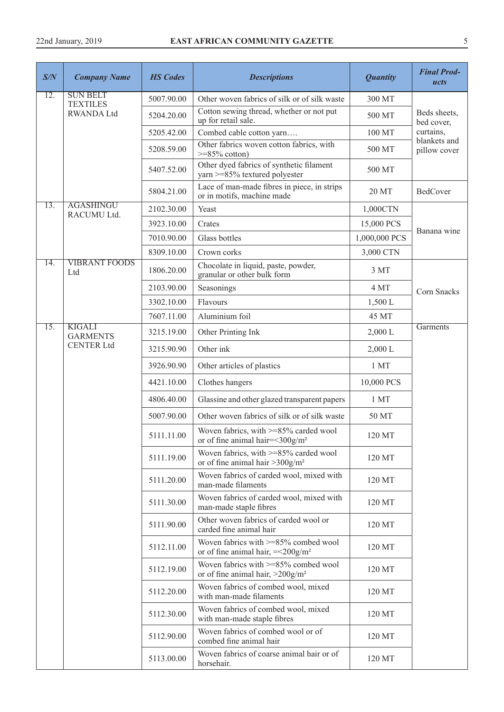| S/N | <b>Company Name</b>                | <b>HS</b> Codes | <b>Descriptions</b>                                                                         | <b>Quantity</b> | <b>Final Prod-</b><br>ucts |
|-----|------------------------------------|-----------------|---------------------------------------------------------------------------------------------|-----------------|----------------------------|
| 12. | <b>SUN BELT</b><br><b>TEXTILES</b> | 5007.90.00      | Other woven fabrics of silk or of silk waste                                                | 300 MT          |                            |
|     | <b>RWANDA Ltd</b>                  | 5204.20.00      | Cotton sewing thread, whether or not put<br>up for retail sale.                             | 500 MT          | Beds sheets,<br>bed cover, |
|     |                                    | 5205.42.00      | Combed cable cotton yarn                                                                    | 100 MT          | curtains,<br>blankets and  |
|     |                                    | 5208.59.00      | Other fabrics woven cotton fabrics, with<br>$>=85\%$ cotton)                                | 500 MT          | pillow cover               |
|     |                                    | 5407.52.00      | Other dyed fabrics of synthetic filament<br>yarn >=85% textured polyester                   | 500 MT          |                            |
|     |                                    | 5804.21.00      | Lace of man-made fibres in piece, in strips<br>or in motifs, machine made                   | 20 MT           | BedCover                   |
| 13. | <b>AGASHINGU</b><br>RACUMU Ltd.    | 2102.30.00      | Yeast                                                                                       | 1,000CTN        |                            |
|     |                                    | 3923.10.00      | Crates                                                                                      | 15,000 PCS      |                            |
|     |                                    | 7010.90.00      | Glass bottles                                                                               | 1,000,000 PCS   | Banana wine                |
|     |                                    | 8309.10.00      | Crown corks                                                                                 | 3,000 CTN       |                            |
| 14. | <b>VIBRANT FOODS</b><br>Ltd        | 1806.20.00      | Chocolate in liquid, paste, powder,<br>granular or other bulk form                          | 3 MT            |                            |
|     |                                    | 2103.90.00      | Seasonings                                                                                  | 4 MT            | Corn Snacks                |
|     |                                    | 3302.10.00      | Flavours                                                                                    | 1,500 L         |                            |
|     |                                    | 7607.11.00      | Aluminium foil                                                                              | 45 MT           |                            |
| 15. | <b>KIGALI</b><br><b>GARMENTS</b>   | 3215.19.00      | Other Printing Ink                                                                          | 2,000 L         | Garments                   |
|     | <b>CENTER Ltd</b>                  | 3215.90.90      | Other ink                                                                                   | 2,000 L         |                            |
|     |                                    | 3926.90.90      | Other articles of plastics                                                                  | 1 MT            |                            |
|     |                                    | 4421.10.00      | Clothes hangers                                                                             | 10,000 PCS      |                            |
|     |                                    | 4806.40.00      | Glassine and other glazed transparent papers                                                | 1 MT            |                            |
|     |                                    | 5007.90.00      | Other woven fabrics of silk or of silk waste                                                | 50 MT           |                            |
|     |                                    | 5111.11.00      | Woven fabrics, with >=85% carded wool<br>or of fine animal hair= $\leq$ 300g/m <sup>2</sup> | 120 MT          |                            |
|     |                                    | 5111.19.00      | Woven fabrics, with $>= 85\%$ carded wool<br>or of fine animal hair $>300$ g/m <sup>2</sup> | 120 MT          |                            |
|     |                                    | 5111.20.00      | Woven fabrics of carded wool, mixed with<br>man-made filaments                              | 120 MT          |                            |
|     |                                    | 5111.30.00      | Woven fabrics of carded wool, mixed with<br>man-made staple fibres                          | 120 MT          |                            |
|     |                                    | 5111.90.00      | Other woven fabrics of carded wool or<br>carded fine animal hair                            | 120 MT          |                            |
|     |                                    | 5112.11.00      | Woven fabrics with $>= 85\%$ combed wool<br>or of fine animal hair, $=<200g/m2$             | 120 MT          |                            |
|     |                                    | 5112.19.00      | Woven fabrics with $>= 85\%$ combed wool<br>or of fine animal hair, $>200$ g/m <sup>2</sup> | 120 MT          |                            |
|     |                                    | 5112.20.00      | Woven fabrics of combed wool, mixed<br>with man-made filaments                              | 120 MT          |                            |
|     |                                    | 5112.30.00      | Woven fabrics of combed wool, mixed<br>with man-made staple fibres                          | 120 MT          |                            |
|     |                                    | 5112.90.00      | Woven fabrics of combed wool or of<br>combed fine animal hair                               | 120 MT          |                            |
|     |                                    | 5113.00.00      | Woven fabrics of coarse animal hair or of<br>horsehair.                                     | 120 MT          |                            |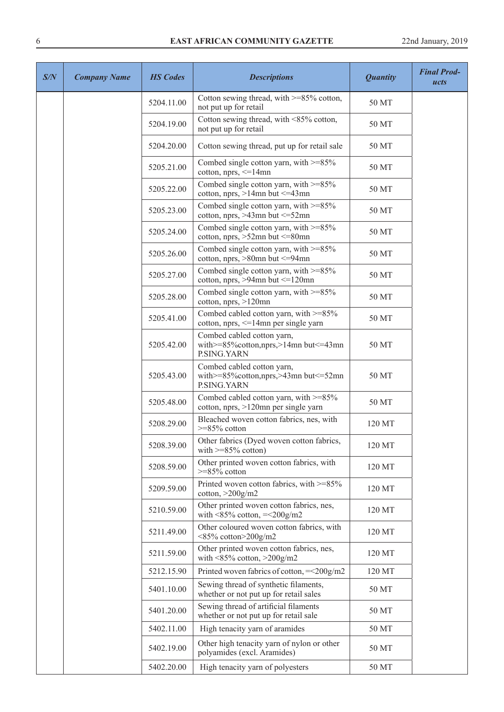| S/N | <b>Company Name</b> | <b>HS</b> Codes | <b>Descriptions</b>                                                                    | <b>Quantity</b> | <b>Final Prod-</b><br>ucts |
|-----|---------------------|-----------------|----------------------------------------------------------------------------------------|-----------------|----------------------------|
|     |                     | 5204.11.00      | Cotton sewing thread, with $>= 85\%$ cotton,<br>not put up for retail                  | 50 MT           |                            |
|     |                     | 5204.19.00      | Cotton sewing thread, with <85% cotton,<br>not put up for retail                       | 50 MT           |                            |
|     |                     | 5204.20.00      | Cotton sewing thread, put up for retail sale                                           | 50 MT           |                            |
|     |                     | 5205.21.00      | Combed single cotton yarn, with $>=85\%$<br>cotton, $nprs$ , $\leq 14mn$               | 50 MT           |                            |
|     |                     | 5205.22.00      | Combed single cotton yarn, with $>=85\%$<br>cotton, nprs, $>14$ mn but $\leq$ =43mn    | 50 MT           |                            |
|     |                     | 5205.23.00      | Combed single cotton yarn, with >=85%<br>cotton, nprs, $>43$ mn but $\leq 52$ mn       | 50 MT           |                            |
|     |                     | 5205.24.00      | Combed single cotton yarn, with $>=85\%$<br>cotton, nprs, $>52$ mn but $\leq 80$ mn    | 50 MT           |                            |
|     |                     | 5205.26.00      | Combed single cotton yarn, with >=85%<br>cotton, nprs, $>80$ mn but $\leq=94$ mn       | 50 MT           |                            |
|     |                     | 5205.27.00      | Combed single cotton yarn, with $>=85\%$<br>cotton, nprs, $>94$ mn but $\leq 120$ mn   | 50 MT           |                            |
|     |                     | 5205.28.00      | Combed single cotton yarn, with $>=85\%$<br>cotton, $nprs$ , $>120mn$                  | 50 MT           |                            |
|     |                     | 5205.41.00      | Combed cabled cotton yarn, with $>=85\%$<br>cotton, nprs, <= 14mn per single yarn      | 50 MT           |                            |
|     |                     | 5205.42.00      | Combed cabled cotton yarn,<br>with>=85% cotton, nprs, >14mn but <= 43mn<br>P.SING.YARN | 50 MT           |                            |
|     |                     | 5205.43.00      | Combed cabled cotton yarn,<br>with>=85% cotton, nprs, >43mn but <= 52mn<br>P.SING.YARN | 50 MT           |                            |
|     |                     | 5205.48.00      | Combed cabled cotton yarn, with >=85%<br>cotton, nprs, >120mn per single yarn          | 50 MT           |                            |
|     |                     | 5208.29.00      | Bleached woven cotton fabrics, nes, with<br>$>=85\%$ cotton                            | 120 MT          |                            |
|     |                     | 5208.39.00      | Other fabrics (Dyed woven cotton fabrics,<br>with $>=85\%$ cotton)                     | 120 MT          |                            |
|     |                     | 5208.59.00      | Other printed woven cotton fabrics, with<br>$>=85\%$ cotton                            | 120 MT          |                            |
|     |                     | 5209.59.00      | Printed woven cotton fabrics, with >=85%<br>$\cot$ ton, $>$ 200 $\frac{g}{m}$ 2        | 120 MT          |                            |
|     |                     | 5210.59.00      | Other printed woven cotton fabrics, nes,<br>with $\leq$ 85% cotton, $=\leq$ 200g/m2    | 120 MT          |                            |
|     |                     | 5211.49.00      | Other coloured woven cotton fabrics, with<br>$<85\%$ cotton>200g/m2                    | 120 MT          |                            |
|     |                     | 5211.59.00      | Other printed woven cotton fabrics, nes,<br>with $\leq$ 85% cotton, $\geq$ 200g/m2     | 120 MT          |                            |
|     |                     | 5212.15.90      | Printed woven fabrics of cotton, $=<200g/m2$                                           | 120 MT          |                            |
|     |                     | 5401.10.00      | Sewing thread of synthetic filaments,<br>whether or not put up for retail sales        | 50 MT           |                            |
|     |                     | 5401.20.00      | Sewing thread of artificial filaments<br>whether or not put up for retail sale         | 50 MT           |                            |
|     |                     | 5402.11.00      | High tenacity yarn of aramides                                                         | 50 MT           |                            |
|     |                     | 5402.19.00      | Other high tenacity yarn of nylon or other<br>polyamides (excl. Aramides)              | 50 MT           |                            |
|     |                     | 5402.20.00      | High tenacity yarn of polyesters                                                       | 50 MT           |                            |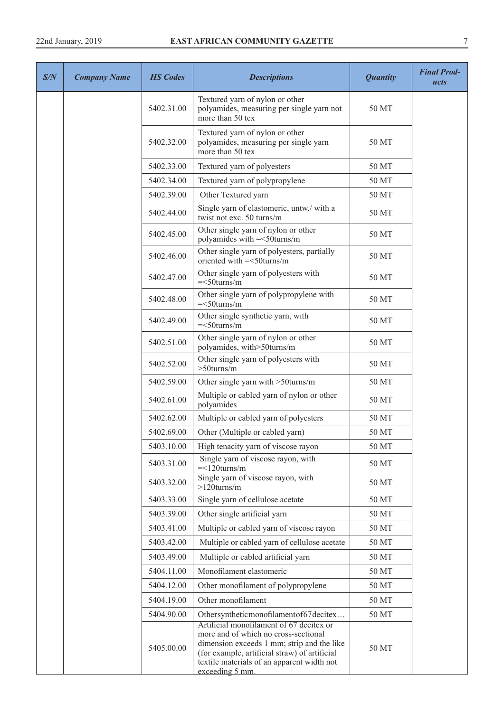| S/N | <b>Company Name</b> | <b>HS</b> Codes | <b>Descriptions</b>                                                                                                                                                                                                                              | <b>Quantity</b> | <b>Final Prod-</b><br>ucts |
|-----|---------------------|-----------------|--------------------------------------------------------------------------------------------------------------------------------------------------------------------------------------------------------------------------------------------------|-----------------|----------------------------|
|     |                     | 5402.31.00      | Textured yarn of nylon or other<br>polyamides, measuring per single yarn not<br>more than 50 tex                                                                                                                                                 | 50 MT           |                            |
|     |                     | 5402.32.00      | Textured yarn of nylon or other<br>polyamides, measuring per single yarn<br>more than 50 tex                                                                                                                                                     | 50 MT           |                            |
|     |                     | 5402.33.00      | Textured yarn of polyesters                                                                                                                                                                                                                      | 50 MT           |                            |
|     |                     | 5402.34.00      | Textured yarn of polypropylene                                                                                                                                                                                                                   | 50 MT           |                            |
|     |                     | 5402.39.00      | Other Textured yarn                                                                                                                                                                                                                              | 50 MT           |                            |
|     |                     | 5402.44.00      | Single yarn of elastomeric, untw./ with a<br>twist not exc. 50 turns/m                                                                                                                                                                           | 50 MT           |                            |
|     |                     | 5402.45.00      | Other single yarn of nylon or other<br>polyamides with = <50turns/m                                                                                                                                                                              | 50 MT           |                            |
|     |                     | 5402.46.00      | Other single yarn of polyesters, partially<br>oriented with = < 50turns/m                                                                                                                                                                        | 50 MT           |                            |
|     |                     | 5402.47.00      | Other single yarn of polyesters with<br>$=<50$ turns/m                                                                                                                                                                                           | 50 MT           |                            |
|     |                     | 5402.48.00      | Other single yarn of polypropylene with<br>$=<50$ turns/m                                                                                                                                                                                        | 50 MT           |                            |
|     |                     | 5402.49.00      | Other single synthetic yarn, with<br>$=<50$ turns/m                                                                                                                                                                                              | 50 MT           |                            |
|     |                     | 5402.51.00      | Other single yarn of nylon or other<br>polyamides, with > 50turns/m                                                                                                                                                                              | 50 MT           |                            |
|     |                     | 5402.52.00      | Other single yarn of polyesters with<br>$>50$ turns/m                                                                                                                                                                                            | 50 MT           |                            |
|     |                     | 5402.59.00      | Other single yarn with >50turns/m                                                                                                                                                                                                                | 50 MT           |                            |
|     |                     | 5402.61.00      | Multiple or cabled yarn of nylon or other<br>polyamides                                                                                                                                                                                          | 50 MT           |                            |
|     |                     | 5402.62.00      | Multiple or cabled yarn of polyesters                                                                                                                                                                                                            | 50 MT           |                            |
|     |                     | 5402.69.00      | Other (Multiple or cabled yarn)                                                                                                                                                                                                                  | 50 MT           |                            |
|     |                     | 5403.10.00      | High tenacity yarn of viscose rayon                                                                                                                                                                                                              | 50 MT           |                            |
|     |                     | 5403.31.00      | Single yarn of viscose rayon, with<br>$=<120 turns/m$                                                                                                                                                                                            | 50 MT           |                            |
|     |                     | 5403.32.00      | Single yarn of viscose rayon, with<br>$>120$ turns/m                                                                                                                                                                                             | 50 MT           |                            |
|     |                     | 5403.33.00      | Single yarn of cellulose acetate                                                                                                                                                                                                                 | 50 MT           |                            |
|     |                     | 5403.39.00      | Other single artificial yarn                                                                                                                                                                                                                     | 50 MT           |                            |
|     |                     | 5403.41.00      | Multiple or cabled yarn of viscose rayon                                                                                                                                                                                                         | 50 MT           |                            |
|     |                     | 5403.42.00      | Multiple or cabled yarn of cellulose acetate                                                                                                                                                                                                     | 50 MT           |                            |
|     |                     | 5403.49.00      | Multiple or cabled artificial yarn                                                                                                                                                                                                               | 50 MT           |                            |
|     |                     | 5404.11.00      | Monofilament elastomeric                                                                                                                                                                                                                         | 50 MT           |                            |
|     |                     | 5404.12.00      | Other monofilament of polypropylene                                                                                                                                                                                                              | 50 MT           |                            |
|     |                     | 5404.19.00      | Other monofilament                                                                                                                                                                                                                               | 50 MT           |                            |
|     |                     | 5404.90.00      | Othersyntheticmonofilamentof67decitex                                                                                                                                                                                                            | 50 MT           |                            |
|     |                     | 5405.00.00      | Artificial monofilament of 67 decitex or<br>more and of which no cross-sectional<br>dimension exceeds 1 mm; strip and the like<br>(for example, artificial straw) of artificial<br>textile materials of an apparent width not<br>exceeding 5 mm. | 50 MT           |                            |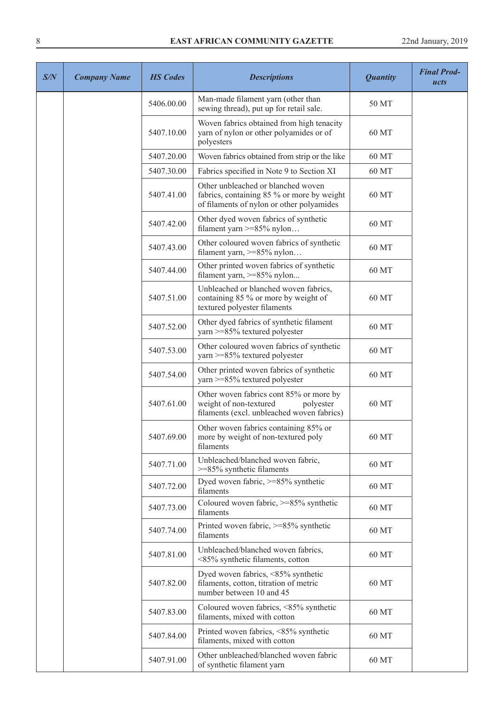| S/N | <b>Company Name</b> | <b>HS</b> Codes | <b>Descriptions</b>                                                                                                           | <b>Quantity</b> | <b>Final Prod-</b><br>ucts |
|-----|---------------------|-----------------|-------------------------------------------------------------------------------------------------------------------------------|-----------------|----------------------------|
|     |                     | 5406.00.00      | Man-made filament yarn (other than<br>sewing thread), put up for retail sale.                                                 | 50 MT           |                            |
|     |                     | 5407.10.00      | Woven fabrics obtained from high tenacity<br>yarn of nylon or other polyamides or of<br>polyesters                            | 60 MT           |                            |
|     |                     | 5407.20.00      | Woven fabrics obtained from strip or the like                                                                                 | 60 MT           |                            |
|     |                     | 5407.30.00      | Fabrics specified in Note 9 to Section XI                                                                                     | 60 MT           |                            |
|     |                     | 5407.41.00      | Other unbleached or blanched woven<br>fabrics, containing 85 % or more by weight<br>of filaments of nylon or other polyamides | 60 MT           |                            |
|     |                     | 5407.42.00      | Other dyed woven fabrics of synthetic<br>filament yarn $>= 85\%$ nylon                                                        | 60 MT           |                            |
|     |                     | 5407.43.00      | Other coloured woven fabrics of synthetic<br>filament yarn, >=85% nylon                                                       | 60 MT           |                            |
|     |                     | 5407.44.00      | Other printed woven fabrics of synthetic<br>filament yarn, $>= 85\%$ nylon                                                    | 60 MT           |                            |
|     |                     | 5407.51.00      | Unbleached or blanched woven fabrics,<br>containing 85 % or more by weight of<br>textured polyester filaments                 | 60 MT           |                            |
|     |                     | 5407.52.00      | Other dyed fabrics of synthetic filament<br>yarn >=85% textured polyester                                                     | 60 MT           |                            |
|     |                     | 5407.53.00      | Other coloured woven fabrics of synthetic<br>yarn >=85% textured polyester                                                    | 60 MT           |                            |
|     |                     | 5407.54.00      | Other printed woven fabrics of synthetic<br>yarn >=85% textured polyester                                                     | 60 MT           |                            |
|     |                     | 5407.61.00      | Other woven fabrics cont 85% or more by<br>weight of non-textured<br>polyester<br>filaments (excl. unbleached woven fabrics)  | 60 MT           |                            |
|     |                     | 5407.69.00      | Other woven fabrics containing 85% or<br>more by weight of non-textured poly<br>filaments                                     | 60 MT           |                            |
|     |                     | 5407.71.00      | Unbleached/blanched woven fabric,<br>$>=85\%$ synthetic filaments                                                             | 60 MT           |                            |
|     |                     | 5407.72.00      | Dyed woven fabric, >=85% synthetic<br>filaments                                                                               | 60 MT           |                            |
|     |                     | 5407.73.00      | Coloured woven fabric, $>= 85\%$ synthetic<br>filaments                                                                       | 60 MT           |                            |
|     |                     | 5407.74.00      | Printed woven fabric, >=85% synthetic<br>filaments                                                                            | 60 MT           |                            |
|     |                     | 5407.81.00      | Unbleached/blanched woven fabrics,<br><85% synthetic filaments, cotton                                                        | 60 MT           |                            |
|     |                     | 5407.82.00      | Dyed woven fabrics, <85% synthetic<br>filaments, cotton, titration of metric<br>number between 10 and 45                      | 60 MT           |                            |
|     |                     | 5407.83.00      | Coloured woven fabrics, <85% synthetic<br>filaments, mixed with cotton                                                        | 60 MT           |                            |
|     |                     | 5407.84.00      | Printed woven fabrics, <85% synthetic<br>filaments, mixed with cotton                                                         | 60 MT           |                            |
|     |                     | 5407.91.00      | Other unbleached/blanched woven fabric<br>of synthetic filament yarn                                                          | 60 MT           |                            |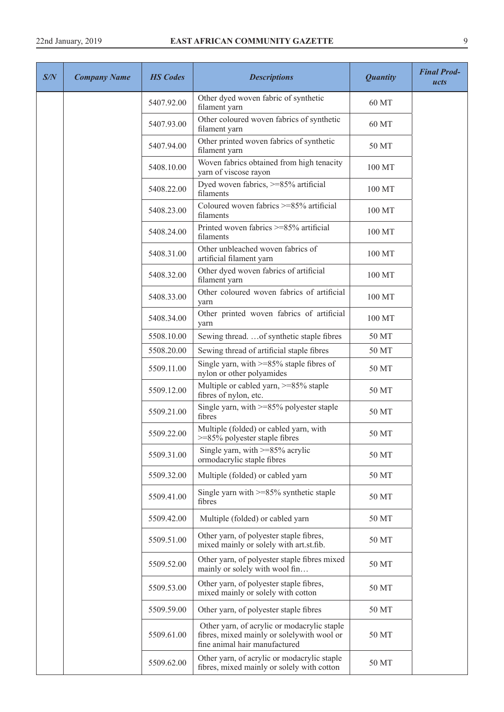| S/N | <b>Company Name</b> | <b>HS Codes</b> | <b>Descriptions</b>                                                                                                        | <b>Quantity</b> | <b>Final Prod-</b><br>ucts |
|-----|---------------------|-----------------|----------------------------------------------------------------------------------------------------------------------------|-----------------|----------------------------|
|     |                     | 5407.92.00      | Other dyed woven fabric of synthetic<br>filament yarn                                                                      | 60 MT           |                            |
|     |                     | 5407.93.00      | Other coloured woven fabrics of synthetic<br>filament yarn                                                                 | 60 MT           |                            |
|     |                     | 5407.94.00      | Other printed woven fabrics of synthetic<br>filament yarn                                                                  | 50 MT           |                            |
|     |                     | 5408.10.00      | Woven fabrics obtained from high tenacity<br>yarn of viscose rayon                                                         | 100 MT          |                            |
|     |                     | 5408.22.00      | Dyed woven fabrics, >=85% artificial<br>filaments                                                                          | 100 MT          |                            |
|     |                     | 5408.23.00      | Coloured woven fabrics >=85% artificial<br>filaments                                                                       | 100 MT          |                            |
|     |                     | 5408.24.00      | Printed woven fabrics >=85% artificial<br>filaments                                                                        | 100 MT          |                            |
|     |                     | 5408.31.00      | Other unbleached woven fabrics of<br>artificial filament yarn                                                              | 100 MT          |                            |
|     |                     | 5408.32.00      | Other dyed woven fabrics of artificial<br>filament yarn                                                                    | 100 MT          |                            |
|     |                     | 5408.33.00      | Other coloured woven fabrics of artificial<br>yarn                                                                         | 100 MT          |                            |
|     |                     | 5408.34.00      | Other printed woven fabrics of artificial<br>yarn                                                                          | 100 MT          |                            |
|     |                     | 5508.10.00      | Sewing thread.  of synthetic staple fibres                                                                                 | 50 MT           |                            |
|     |                     | 5508.20.00      | Sewing thread of artificial staple fibres                                                                                  | 50 MT           |                            |
|     |                     | 5509.11.00      | Single yarn, with $>= 85\%$ staple fibres of<br>nylon or other polyamides                                                  | 50 MT           |                            |
|     |                     | 5509.12.00      | Multiple or cabled yarn, >=85% staple<br>fibres of nylon, etc.                                                             | 50 MT           |                            |
|     |                     | 5509.21.00      | Single yarn, with >=85% polyester staple<br>fibres                                                                         | 50 MT           |                            |
|     |                     | 5509.22.00      | Multiple (folded) or cabled yarn, with<br>>=85% polyester staple fibres                                                    | 50 MT           |                            |
|     |                     | 5509.31.00      | Single yarn, with $>= 85\%$ acrylic<br>ormodacrylic staple fibres                                                          | 50 MT           |                            |
|     |                     | 5509.32.00      | Multiple (folded) or cabled yarn                                                                                           | 50 MT           |                            |
|     |                     | 5509.41.00      | Single yarn with $>= 85\%$ synthetic staple<br>fibres                                                                      | 50 MT           |                            |
|     |                     | 5509.42.00      | Multiple (folded) or cabled yarn                                                                                           | 50 MT           |                            |
|     |                     | 5509.51.00      | Other yarn, of polyester staple fibres,<br>mixed mainly or solely with art.st.fib.                                         | 50 MT           |                            |
|     |                     | 5509.52.00      | Other yarn, of polyester staple fibres mixed<br>mainly or solely with wool fin                                             | 50 MT           |                            |
|     |                     | 5509.53.00      | Other yarn, of polyester staple fibres,<br>mixed mainly or solely with cotton                                              | 50 MT           |                            |
|     |                     | 5509.59.00      | Other yarn, of polyester staple fibres                                                                                     | 50 MT           |                            |
|     |                     | 5509.61.00      | Other yarn, of acrylic or modacrylic staple<br>fibres, mixed mainly or solelywith wool or<br>fine animal hair manufactured | 50 MT           |                            |
|     |                     | 5509.62.00      | Other yarn, of acrylic or modacrylic staple<br>fibres, mixed mainly or solely with cotton                                  | 50 MT           |                            |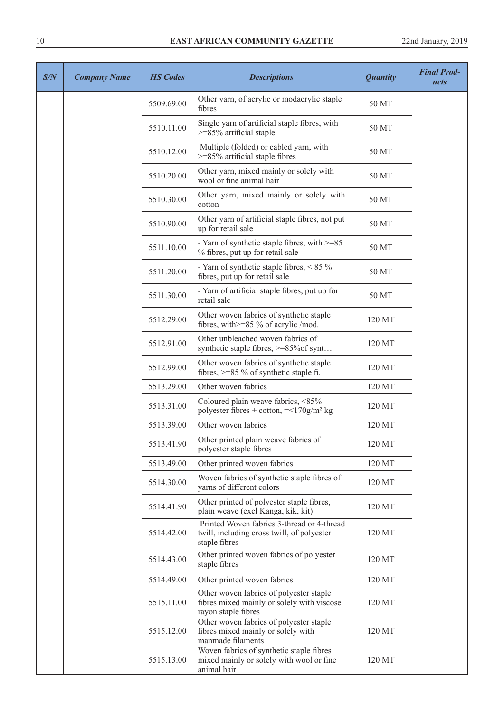| S/N | <b>Company Name</b> | <b>HS</b> Codes | <b>Descriptions</b>                                                                                          | <b>Quantity</b> | <b>Final Prod-</b><br>ucts |
|-----|---------------------|-----------------|--------------------------------------------------------------------------------------------------------------|-----------------|----------------------------|
|     |                     | 5509.69.00      | Other yarn, of acrylic or modacrylic staple<br>fibres                                                        | 50 MT           |                            |
|     |                     | 5510.11.00      | Single yarn of artificial staple fibres, with<br>$>=85\%$ artificial staple                                  | 50 MT           |                            |
|     |                     | 5510.12.00      | Multiple (folded) or cabled yarn, with<br>$>=$ 85% artificial staple fibres                                  | 50 MT           |                            |
|     |                     | 5510.20.00      | Other yarn, mixed mainly or solely with<br>wool or fine animal hair                                          | 50 MT           |                            |
|     |                     | 5510.30.00      | Other yarn, mixed mainly or solely with<br>cotton                                                            | 50 MT           |                            |
|     |                     | 5510.90.00      | Other yarn of artificial staple fibres, not put<br>up for retail sale                                        | 50 MT           |                            |
|     |                     | 5511.10.00      | - Yarn of synthetic staple fibres, with >=85<br>% fibres, put up for retail sale                             | 50 MT           |                            |
|     |                     | 5511.20.00      | - Yarn of synthetic staple fibres, $< 85 \%$<br>fibres, put up for retail sale                               | 50 MT           |                            |
|     |                     | 5511.30.00      | - Yarn of artificial staple fibres, put up for<br>retail sale                                                | 50 MT           |                            |
|     |                     | 5512.29.00      | Other woven fabrics of synthetic staple<br>fibres, with >=85 % of acrylic /mod.                              | 120 MT          |                            |
|     |                     | 5512.91.00      | Other unbleached woven fabrics of<br>synthetic staple fibres, >=85% of synt                                  | 120 MT          |                            |
|     |                     | 5512.99.00      | Other woven fabrics of synthetic staple<br>fibres, $>= 85 \%$ of synthetic staple fi.                        | 120 MT          |                            |
|     |                     | 5513.29.00      | Other woven fabrics                                                                                          | 120 MT          |                            |
|     |                     | 5513.31.00      | Coloured plain weave fabrics, <85%<br>polyester fibres + cotton, $= <170$ g/m <sup>2</sup> kg                | 120 MT          |                            |
|     |                     | 5513.39.00      | Other woven fabrics                                                                                          | 120 MT          |                            |
|     |                     | 5513.41.90      | Other printed plain weave fabrics of<br>polyester staple fibres                                              | 120 MT          |                            |
|     |                     | 5513.49.00      | Other printed woven fabrics                                                                                  | 120 MT          |                            |
|     |                     | 5514.30.00      | Woven fabrics of synthetic staple fibres of<br>yarns of different colors                                     | 120 MT          |                            |
|     |                     | 5514.41.90      | Other printed of polyester staple fibres,<br>plain weave (excl Kanga, kik, kit)                              | 120 MT          |                            |
|     |                     | 5514.42.00      | Printed Woven fabrics 3-thread or 4-thread<br>twill, including cross twill, of polyester<br>staple fibres    | 120 MT          |                            |
|     |                     | 5514.43.00      | Other printed woven fabrics of polyester<br>staple fibres                                                    | 120 MT          |                            |
|     |                     | 5514.49.00      | Other printed woven fabrics                                                                                  | 120 MT          |                            |
|     |                     | 5515.11.00      | Other woven fabrics of polyester staple<br>fibres mixed mainly or solely with viscose<br>rayon staple fibres | 120 MT          |                            |
|     |                     | 5515.12.00      | Other woven fabrics of polyester staple<br>fibres mixed mainly or solely with<br>manmade filaments           | 120 MT          |                            |
|     |                     | 5515.13.00      | Woven fabrics of synthetic staple fibres<br>mixed mainly or solely with wool or fine<br>animal hair          | 120 MT          |                            |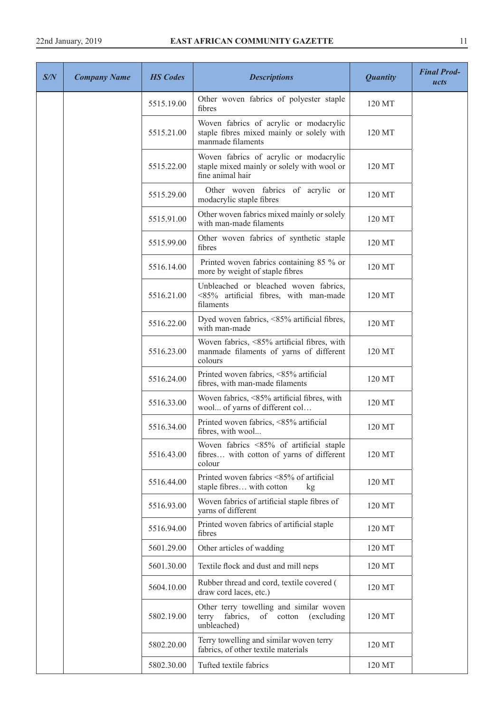| S/N | <b>Company Name</b> | <b>HS</b> Codes | <b>Descriptions</b>                                                                                      | <b>Quantity</b> | <b>Final Prod-</b><br>ucts |
|-----|---------------------|-----------------|----------------------------------------------------------------------------------------------------------|-----------------|----------------------------|
|     |                     | 5515.19.00      | Other woven fabrics of polyester staple<br>fibres                                                        | 120 MT          |                            |
|     |                     | 5515.21.00      | Woven fabrics of acrylic or modacrylic<br>staple fibres mixed mainly or solely with<br>manmade filaments | 120 MT          |                            |
|     |                     | 5515.22.00      | Woven fabrics of acrylic or modacrylic<br>staple mixed mainly or solely with wool or<br>fine animal hair | 120 MT          |                            |
|     |                     | 5515.29.00      | Other woven fabrics of acrylic or<br>modacrylic staple fibres                                            | 120 MT          |                            |
|     |                     | 5515.91.00      | Other woven fabrics mixed mainly or solely<br>with man-made filaments                                    | 120 MT          |                            |
|     |                     | 5515.99.00      | Other woven fabrics of synthetic staple<br>fibres                                                        | 120 MT          |                            |
|     |                     | 5516.14.00      | Printed woven fabrics containing 85 % or<br>more by weight of staple fibres                              | 120 MT          |                            |
|     |                     | 5516.21.00      | Unbleached or bleached woven fabrics,<br><85% artificial fibres, with man-made<br>filaments              | 120 MT          |                            |
|     |                     | 5516.22.00      | Dyed woven fabrics, <85% artificial fibres,<br>with man-made                                             | 120 MT          |                            |
|     |                     | 5516.23.00      | Woven fabrics, <85% artificial fibres, with<br>manmade filaments of yarns of different<br>colours        | 120 MT          |                            |
|     |                     | 5516.24.00      | Printed woven fabrics, <85% artificial<br>fibres, with man-made filaments                                | 120 MT          |                            |
|     |                     | 5516.33.00      | Woven fabrics, <85% artificial fibres, with<br>wool of yarns of different col                            | 120 MT          |                            |
|     |                     | 5516.34.00      | Printed woven fabrics, <85% artificial<br>fibres, with wool                                              | 120 MT          |                            |
|     |                     | 5516.43.00      | Woven fabrics <85% of artificial staple<br>fibres with cotton of yarns of different<br>colour            | 120 MT          |                            |
|     |                     | 5516.44.00      | Printed woven fabrics <85% of artificial<br>staple fibres with cotton<br>kg                              | 120 MT          |                            |
|     |                     | 5516.93.00      | Woven fabrics of artificial staple fibres of<br>yarns of different                                       | 120 MT          |                            |
|     |                     | 5516.94.00      | Printed woven fabrics of artificial staple<br>fibres                                                     | 120 MT          |                            |
|     |                     | 5601.29.00      | Other articles of wadding                                                                                | 120 MT          |                            |
|     |                     | 5601.30.00      | Textile flock and dust and mill neps                                                                     | 120 MT          |                            |
|     |                     | 5604.10.00      | Rubber thread and cord, textile covered (<br>draw cord laces, etc.)                                      | 120 MT          |                            |
|     |                     | 5802.19.00      | Other terry towelling and similar woven<br>terry<br>fabrics,<br>of cotton<br>(excluding)<br>unbleached)  | 120 MT          |                            |
|     |                     | 5802.20.00      | Terry towelling and similar woven terry<br>fabrics, of other textile materials                           | 120 MT          |                            |
|     |                     | 5802.30.00      | Tufted textile fabrics                                                                                   | 120 MT          |                            |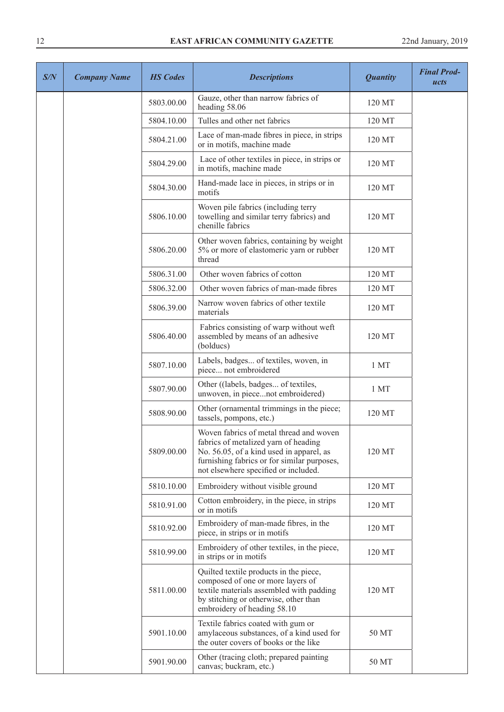| S/N | <b>Company Name</b> | <b>HS Codes</b> | <b>Descriptions</b>                                                                                                                                                                                                | <b>Quantity</b> | <b>Final Prod-</b><br>ucts |
|-----|---------------------|-----------------|--------------------------------------------------------------------------------------------------------------------------------------------------------------------------------------------------------------------|-----------------|----------------------------|
|     |                     | 5803.00.00      | Gauze, other than narrow fabrics of<br>heading 58.06                                                                                                                                                               | 120 MT          |                            |
|     |                     | 5804.10.00      | Tulles and other net fabrics                                                                                                                                                                                       | 120 MT          |                            |
|     |                     | 5804.21.00      | Lace of man-made fibres in piece, in strips<br>or in motifs, machine made                                                                                                                                          | 120 MT          |                            |
|     |                     | 5804.29.00      | Lace of other textiles in piece, in strips or<br>in motifs, machine made                                                                                                                                           | 120 MT          |                            |
|     |                     | 5804.30.00      | Hand-made lace in pieces, in strips or in<br>motifs                                                                                                                                                                | 120 MT          |                            |
|     |                     | 5806.10.00      | Woven pile fabrics (including terry<br>towelling and similar terry fabrics) and<br>chenille fabrics                                                                                                                | 120 MT          |                            |
|     |                     | 5806.20.00      | Other woven fabrics, containing by weight<br>5% or more of elastomeric yarn or rubber<br>thread                                                                                                                    | 120 MT          |                            |
|     |                     | 5806.31.00      | Other woven fabrics of cotton                                                                                                                                                                                      | 120 MT          |                            |
|     |                     | 5806.32.00      | Other woven fabrics of man-made fibres                                                                                                                                                                             | 120 MT          |                            |
|     |                     | 5806.39.00      | Narrow woven fabrics of other textile<br>materials                                                                                                                                                                 | 120 MT          |                            |
|     |                     | 5806.40.00      | Fabrics consisting of warp without weft<br>assembled by means of an adhesive<br>(bolducs)                                                                                                                          | 120 MT          |                            |
|     |                     | 5807.10.00      | Labels, badges of textiles, woven, in<br>piece not embroidered                                                                                                                                                     | 1 MT            |                            |
|     |                     | 5807.90.00      | Other ((labels, badges of textiles,<br>unwoven, in piecenot embroidered)                                                                                                                                           | 1 MT            |                            |
|     |                     | 5808.90.00      | Other (ornamental trimmings in the piece;<br>tassels, pompons, etc.)                                                                                                                                               | 120 MT          |                            |
|     |                     | 5809.00.00      | Woven fabrics of metal thread and woven<br>fabrics of metalized yarn of heading<br>No. 56.05, of a kind used in apparel, as<br>furnishing fabrics or for similar purposes,<br>not elsewhere specified or included. | 120 MT          |                            |
|     |                     | 5810.10.00      | Embroidery without visible ground                                                                                                                                                                                  | 120 MT          |                            |
|     |                     | 5810.91.00      | Cotton embroidery, in the piece, in strips<br>or in motifs                                                                                                                                                         | 120 MT          |                            |
|     |                     | 5810.92.00      | Embroidery of man-made fibres, in the<br>piece, in strips or in motifs                                                                                                                                             | 120 MT          |                            |
|     |                     | 5810.99.00      | Embroidery of other textiles, in the piece,<br>in strips or in motifs                                                                                                                                              | 120 MT          |                            |
|     |                     | 5811.00.00      | Quilted textile products in the piece,<br>composed of one or more layers of<br>textile materials assembled with padding<br>by stitching or otherwise, other than<br>embroidery of heading 58.10                    | 120 MT          |                            |
|     |                     | 5901.10.00      | Textile fabrics coated with gum or<br>amylaceous substances, of a kind used for<br>the outer covers of books or the like                                                                                           | 50 MT           |                            |
|     |                     | 5901.90.00      | Other (tracing cloth; prepared painting<br>canvas; buckram, etc.)                                                                                                                                                  | 50 MT           |                            |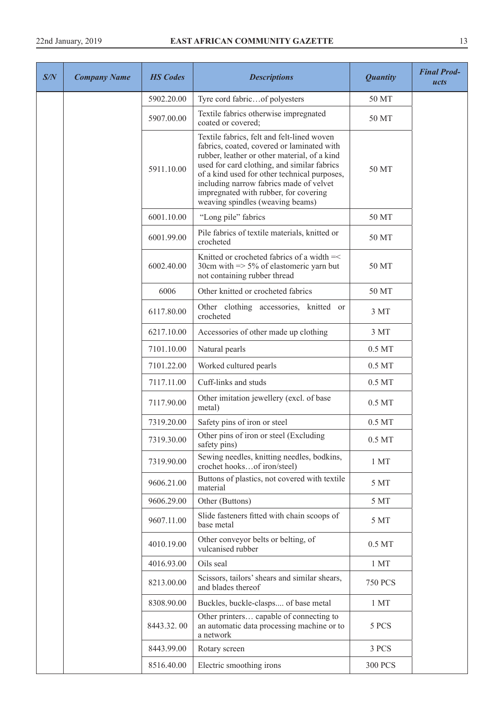| S/N | <b>Company Name</b> | <b>HS</b> Codes | <b>Descriptions</b>                                                                                                                                                                                                                                                                                                                                             | <b>Quantity</b>    | <b>Final Prod-</b><br>ucts |
|-----|---------------------|-----------------|-----------------------------------------------------------------------------------------------------------------------------------------------------------------------------------------------------------------------------------------------------------------------------------------------------------------------------------------------------------------|--------------------|----------------------------|
|     |                     | 5902.20.00      | Tyre cord fabricof polyesters                                                                                                                                                                                                                                                                                                                                   | 50 MT              |                            |
|     |                     | 5907.00.00      | Textile fabrics otherwise impregnated<br>coated or covered;                                                                                                                                                                                                                                                                                                     | 50 MT              |                            |
|     |                     | 5911.10.00      | Textile fabrics, felt and felt-lined woven<br>fabrics, coated, covered or laminated with<br>rubber, leather or other material, of a kind<br>used for card clothing, and similar fabrics<br>of a kind used for other technical purposes,<br>including narrow fabrics made of velvet<br>impregnated with rubber, for covering<br>weaving spindles (weaving beams) | 50 MT              |                            |
|     |                     | 6001.10.00      | "Long pile" fabrics                                                                                                                                                                                                                                                                                                                                             | 50 MT              |                            |
|     |                     | 6001.99.00      | Pile fabrics of textile materials, knitted or<br>crocheted                                                                                                                                                                                                                                                                                                      | 50 MT              |                            |
|     |                     | 6002.40.00      | Knitted or crocheted fabrics of a width $=<$<br>30cm with $\Rightarrow$ 5% of elastomeric yarn but<br>not containing rubber thread                                                                                                                                                                                                                              | 50 MT              |                            |
|     |                     | 6006            | Other knitted or crocheted fabrics                                                                                                                                                                                                                                                                                                                              | 50 MT              |                            |
|     |                     | 6117.80.00      | Other clothing accessories, knitted or<br>crocheted                                                                                                                                                                                                                                                                                                             | 3 MT               |                            |
|     |                     | 6217.10.00      | Accessories of other made up clothing                                                                                                                                                                                                                                                                                                                           | 3 MT               |                            |
|     |                     | 7101.10.00      | Natural pearls                                                                                                                                                                                                                                                                                                                                                  | 0.5 MT             |                            |
|     |                     | 7101.22.00      | Worked cultured pearls                                                                                                                                                                                                                                                                                                                                          | 0.5 MT             |                            |
|     |                     | 7117.11.00      | Cuff-links and studs                                                                                                                                                                                                                                                                                                                                            | $0.5\,\mathrm{MT}$ |                            |
|     |                     | 7117.90.00      | Other imitation jewellery (excl. of base<br>metal)                                                                                                                                                                                                                                                                                                              | 0.5 MT             |                            |
|     |                     | 7319.20.00      | Safety pins of iron or steel                                                                                                                                                                                                                                                                                                                                    | $0.5\,\mathrm{MT}$ |                            |
|     |                     | 7319.30.00      | Other pins of iron or steel (Excluding<br>safety pins)                                                                                                                                                                                                                                                                                                          | 0.5 MT             |                            |
|     |                     | 7319.90.00      | Sewing needles, knitting needles, bodkins,<br>crochet hooksof iron/steel)                                                                                                                                                                                                                                                                                       | 1 <sub>MT</sub>    |                            |
|     |                     | 9606.21.00      | Buttons of plastics, not covered with textile<br>material                                                                                                                                                                                                                                                                                                       | 5 MT               |                            |
|     |                     | 9606.29.00      | Other (Buttons)                                                                                                                                                                                                                                                                                                                                                 | 5 MT               |                            |
|     |                     | 9607.11.00      | Slide fasteners fitted with chain scoops of<br>base metal                                                                                                                                                                                                                                                                                                       | 5 MT               |                            |
|     |                     | 4010.19.00      | Other conveyor belts or belting, of<br>vulcanised rubber                                                                                                                                                                                                                                                                                                        | $0.5\,\mathrm{MT}$ |                            |
|     |                     | 4016.93.00      | Oils seal                                                                                                                                                                                                                                                                                                                                                       | 1 <sub>MT</sub>    |                            |
|     |                     | 8213.00.00      | Scissors, tailors' shears and similar shears,<br>and blades thereof                                                                                                                                                                                                                                                                                             | <b>750 PCS</b>     |                            |
|     |                     | 8308.90.00      | Buckles, buckle-clasps of base metal                                                                                                                                                                                                                                                                                                                            | 1 <sub>MT</sub>    |                            |
|     |                     | 8443.32.00      | Other printers capable of connecting to<br>an automatic data processing machine or to<br>a network                                                                                                                                                                                                                                                              | 5 PCS              |                            |
|     |                     | 8443.99.00      | Rotary screen                                                                                                                                                                                                                                                                                                                                                   | 3 PCS              |                            |
|     |                     | 8516.40.00      | Electric smoothing irons                                                                                                                                                                                                                                                                                                                                        | <b>300 PCS</b>     |                            |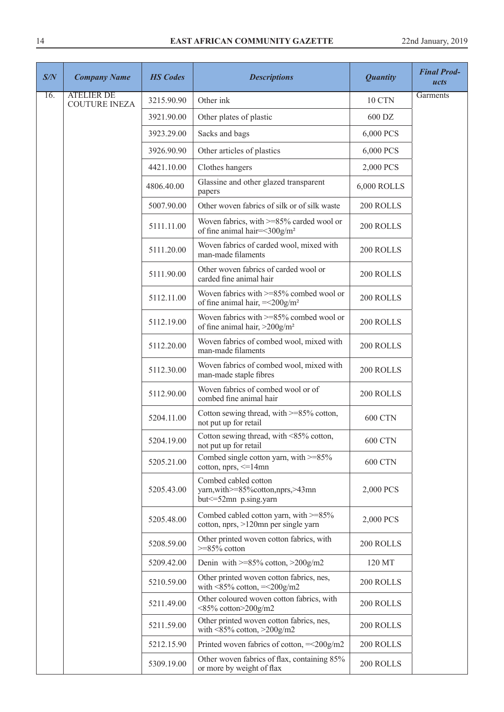| S/N | <b>Company Name</b>                       | <b>HS Codes</b> | <b>Descriptions</b>                                                                          | <b>Quantity</b> | <b>Final Prod-</b><br>ucts |
|-----|-------------------------------------------|-----------------|----------------------------------------------------------------------------------------------|-----------------|----------------------------|
| 16. | <b>ATELIER DE</b><br><b>COUTURE INEZA</b> | 3215.90.90      | Other ink                                                                                    | 10 CTN          | Garments                   |
|     |                                           | 3921.90.00      | Other plates of plastic                                                                      | 600 DZ          |                            |
|     |                                           | 3923.29.00      | Sacks and bags                                                                               | 6,000 PCS       |                            |
|     |                                           | 3926.90.90      | Other articles of plastics                                                                   | 6,000 PCS       |                            |
|     |                                           | 4421.10.00      | Clothes hangers                                                                              | 2,000 PCS       |                            |
|     |                                           | 4806.40.00      | Glassine and other glazed transparent<br>papers                                              | 6,000 ROLLS     |                            |
|     |                                           | 5007.90.00      | Other woven fabrics of silk or of silk waste                                                 | 200 ROLLS       |                            |
|     |                                           | 5111.11.00      | Woven fabrics, with >=85% carded wool or<br>of fine animal hair=<300g/m <sup>2</sup>         | 200 ROLLS       |                            |
|     |                                           | 5111.20.00      | Woven fabrics of carded wool, mixed with<br>man-made filaments                               | 200 ROLLS       |                            |
|     |                                           | 5111.90.00      | Other woven fabrics of carded wool or<br>carded fine animal hair                             | 200 ROLLS       |                            |
|     |                                           | 5112.11.00      | Woven fabrics with $>= 85\%$ combed wool or<br>of fine animal hair, $=<200$ g/m <sup>2</sup> | 200 ROLLS       |                            |
|     |                                           | 5112.19.00      | Woven fabrics with >=85% combed wool or<br>of fine animal hair, $>200$ g/m <sup>2</sup>      | 200 ROLLS       |                            |
|     |                                           | 5112.20.00      | Woven fabrics of combed wool, mixed with<br>man-made filaments                               | 200 ROLLS       |                            |
|     |                                           | 5112.30.00      | Woven fabrics of combed wool, mixed with<br>man-made staple fibres                           | 200 ROLLS       |                            |
|     |                                           | 5112.90.00      | Woven fabrics of combed wool or of<br>combed fine animal hair                                | 200 ROLLS       |                            |
|     |                                           | 5204.11.00      | Cotton sewing thread, with >=85% cotton,<br>not put up for retail                            | <b>600 CTN</b>  |                            |
|     |                                           | 5204.19.00      | Cotton sewing thread, with <85% cotton,<br>not put up for retail                             | <b>600 CTN</b>  |                            |
|     |                                           | 5205.21.00      | Combed single cotton yarn, with $>=85\%$<br>cotton, nprs, $\leq$ =14mn                       | <b>600 CTN</b>  |                            |
|     |                                           | 5205.43.00      | Combed cabled cotton<br>yarn, with >=85% cotton, nprs, >43mn<br>but <= 52mn p.sing.yarn      | 2,000 PCS       |                            |
|     |                                           | 5205.48.00      | Combed cabled cotton yarn, with >=85%<br>cotton, nprs, >120mn per single yarn                | 2,000 PCS       |                            |
|     |                                           | 5208.59.00      | Other printed woven cotton fabrics, with<br>$>=85\%$ cotton                                  | 200 ROLLS       |                            |
|     |                                           | 5209.42.00      | Denin with $>=85\%$ cotton, $>200$ g/m2                                                      | 120 MT          |                            |
|     |                                           | 5210.59.00      | Other printed woven cotton fabrics, nes,<br>with $\leq$ 85% cotton, $=\leq$ 200g/m2          | 200 ROLLS       |                            |
|     |                                           | 5211.49.00      | Other coloured woven cotton fabrics, with<br>$\leq$ 85% cotton $\geq$ 200g/m2                | 200 ROLLS       |                            |
|     |                                           | 5211.59.00      | Other printed woven cotton fabrics, nes,<br>with $\leq$ 85% cotton, $\geq$ 200g/m2           | 200 ROLLS       |                            |
|     |                                           | 5212.15.90      | Printed woven fabrics of cotton, $=<200g/m2$                                                 | 200 ROLLS       |                            |
|     |                                           | 5309.19.00      | Other woven fabrics of flax, containing 85%<br>or more by weight of flax                     | 200 ROLLS       |                            |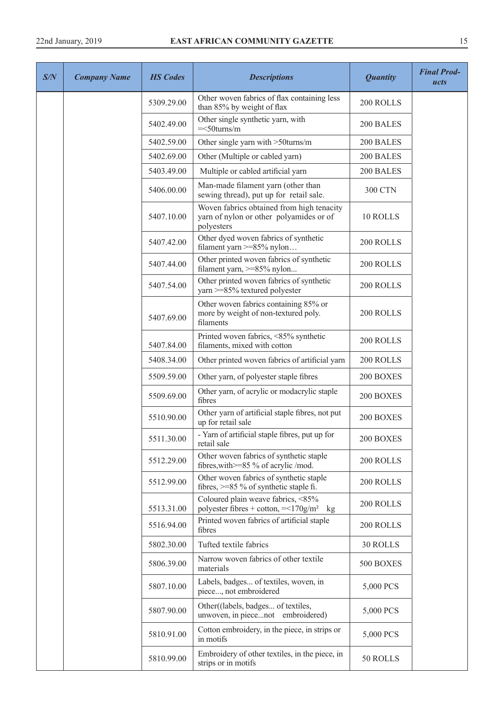| S/N | <b>Company Name</b> | <b>HS</b> Codes | <b>Descriptions</b>                                                                                | <b>Quantity</b> | <b>Final Prod-</b><br>ucts |
|-----|---------------------|-----------------|----------------------------------------------------------------------------------------------------|-----------------|----------------------------|
|     |                     | 5309.29.00      | Other woven fabrics of flax containing less<br>than 85% by weight of flax                          | 200 ROLLS       |                            |
|     |                     | 5402.49.00      | Other single synthetic yarn, with<br>$=<50$ turns/m                                                | 200 BALES       |                            |
|     |                     | 5402.59.00      | Other single yarn with >50turns/m                                                                  | 200 BALES       |                            |
|     |                     | 5402.69.00      | Other (Multiple or cabled yarn)                                                                    | 200 BALES       |                            |
|     |                     | 5403.49.00      | Multiple or cabled artificial yarn                                                                 | 200 BALES       |                            |
|     |                     | 5406.00.00      | Man-made filament yarn (other than<br>sewing thread), put up for retail sale.                      | <b>300 CTN</b>  |                            |
|     |                     | 5407.10.00      | Woven fabrics obtained from high tenacity<br>yarn of nylon or other polyamides or of<br>polyesters | 10 ROLLS        |                            |
|     |                     | 5407.42.00      | Other dyed woven fabrics of synthetic<br>filament yarn >=85% nylon                                 | 200 ROLLS       |                            |
|     |                     | 5407.44.00      | Other printed woven fabrics of synthetic<br>filament yarn, >=85% nylon                             | 200 ROLLS       |                            |
|     |                     | 5407.54.00      | Other printed woven fabrics of synthetic<br>yarn >=85% textured polyester                          | 200 ROLLS       |                            |
|     |                     | 5407.69.00      | Other woven fabrics containing 85% or<br>more by weight of non-textured poly.<br>filaments         | 200 ROLLS       |                            |
|     |                     | 5407.84.00      | Printed woven fabrics, <85% synthetic<br>filaments, mixed with cotton                              | 200 ROLLS       |                            |
|     |                     | 5408.34.00      | Other printed woven fabrics of artificial yarn                                                     | 200 ROLLS       |                            |
|     |                     | 5509.59.00      | Other yarn, of polyester staple fibres                                                             | 200 BOXES       |                            |
|     |                     | 5509.69.00      | Other yarn, of acrylic or modacrylic staple<br>fibres                                              | 200 BOXES       |                            |
|     |                     | 5510.90.00      | Other yarn of artificial staple fibres, not put<br>up for retail sale                              | 200 BOXES       |                            |
|     |                     | 5511.30.00      | - Yarn of artificial staple fibres, put up for<br>retail sale                                      | 200 BOXES       |                            |
|     |                     | 5512.29.00      | Other woven fabrics of synthetic staple<br>fibres, with >=85 % of acrylic /mod.                    | 200 ROLLS       |                            |
|     |                     | 5512.99.00      | Other woven fabrics of synthetic staple<br>fibres, $>= 85 \%$ of synthetic staple fi.              | 200 ROLLS       |                            |
|     |                     | 5513.31.00      | Coloured plain weave fabrics, <85%<br>polyester fibres + cotton, $= <170$ g/m <sup>2</sup> kg      | 200 ROLLS       |                            |
|     |                     | 5516.94.00      | Printed woven fabrics of artificial staple<br>fibres                                               | 200 ROLLS       |                            |
|     |                     | 5802.30.00      | Tufted textile fabrics                                                                             | 30 ROLLS        |                            |
|     |                     | 5806.39.00      | Narrow woven fabrics of other textile<br>materials                                                 | 500 BOXES       |                            |
|     |                     | 5807.10.00      | Labels, badges of textiles, woven, in<br>piece, not embroidered                                    | 5,000 PCS       |                            |
|     |                     | 5807.90.00      | Other((labels, badges of textiles,<br>unwoven, in piecenot embroidered)                            | 5,000 PCS       |                            |
|     |                     | 5810.91.00      | Cotton embroidery, in the piece, in strips or<br>in motifs                                         | 5,000 PCS       |                            |
|     |                     | 5810.99.00      | Embroidery of other textiles, in the piece, in<br>strips or in motifs                              | 50 ROLLS        |                            |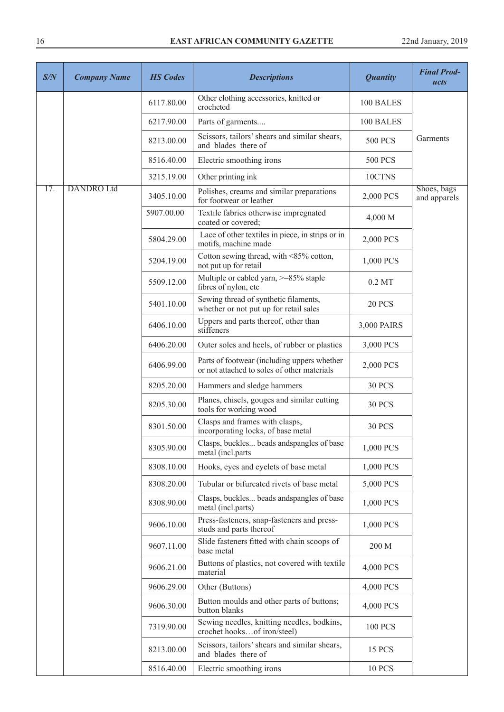| S/N | <b>Company Name</b> | <b>HS</b> Codes | <b>Descriptions</b>                                                                        | <b>Quantity</b> | <b>Final Prod-</b><br>ucts  |
|-----|---------------------|-----------------|--------------------------------------------------------------------------------------------|-----------------|-----------------------------|
|     |                     | 6117.80.00      | Other clothing accessories, knitted or<br>crocheted                                        | 100 BALES       |                             |
|     |                     | 6217.90.00      | Parts of garments                                                                          | 100 BALES       |                             |
|     |                     | 8213.00.00      | Scissors, tailors' shears and similar shears,<br>and blades there of                       | <b>500 PCS</b>  | Garments                    |
|     |                     | 8516.40.00      | Electric smoothing irons                                                                   | <b>500 PCS</b>  |                             |
|     |                     | 3215.19.00      | Other printing ink                                                                         | 10CTNS          |                             |
| 17. | <b>DANDRO Ltd</b>   | 3405.10.00      | Polishes, creams and similar preparations<br>for footwear or leather                       | 2,000 PCS       | Shoes, bags<br>and apparels |
|     |                     | 5907.00.00      | Textile fabrics otherwise impregnated<br>coated or covered;                                | 4,000 M         |                             |
|     |                     | 5804.29.00      | Lace of other textiles in piece, in strips or in<br>motifs, machine made                   | 2,000 PCS       |                             |
|     |                     | 5204.19.00      | Cotton sewing thread, with <85% cotton,<br>not put up for retail                           | 1,000 PCS       |                             |
|     |                     | 5509.12.00      | Multiple or cabled yarn, >=85% staple<br>fibres of nylon, etc                              | $0.2$ MT        |                             |
|     |                     | 5401.10.00      | Sewing thread of synthetic filaments,<br>whether or not put up for retail sales            | <b>20 PCS</b>   |                             |
|     |                     | 6406.10.00      | Uppers and parts thereof, other than<br>stiffeners                                         | 3,000 PAIRS     |                             |
|     |                     | 6406.20.00      | Outer soles and heels, of rubber or plastics                                               | 3,000 PCS       |                             |
|     |                     | 6406.99.00      | Parts of footwear (including uppers whether<br>or not attached to soles of other materials | 2,000 PCS       |                             |
|     |                     | 8205.20.00      | Hammers and sledge hammers                                                                 | <b>30 PCS</b>   |                             |
|     |                     | 8205.30.00      | Planes, chisels, gouges and similar cutting<br>tools for working wood                      | <b>30 PCS</b>   |                             |
|     |                     | 8301.50.00      | Clasps and frames with clasps,<br>incorporating locks, of base metal                       | <b>30 PCS</b>   |                             |
|     |                     | 8305.90.00      | Clasps, buckles beads andspangles of base<br>metal (incl.parts                             | 1,000 PCS       |                             |
|     |                     | 8308.10.00      | Hooks, eyes and eyelets of base metal                                                      | 1,000 PCS       |                             |
|     |                     | 8308.20.00      | Tubular or bifurcated rivets of base metal                                                 | 5,000 PCS       |                             |
|     |                     | 8308.90.00      | Clasps, buckles beads and spangles of base<br>metal (incl.parts)                           | 1,000 PCS       |                             |
|     |                     | 9606.10.00      | Press-fasteners, snap-fasteners and press-<br>studs and parts thereof                      | 1,000 PCS       |                             |
|     |                     | 9607.11.00      | Slide fasteners fitted with chain scoops of<br>base metal                                  | 200 M           |                             |
|     |                     | 9606.21.00      | Buttons of plastics, not covered with textile<br>material                                  | 4,000 PCS       |                             |
|     |                     | 9606.29.00      | Other (Buttons)                                                                            | 4,000 PCS       |                             |
|     |                     | 9606.30.00      | Button moulds and other parts of buttons;<br>button blanks                                 | 4,000 PCS       |                             |
|     |                     | 7319.90.00      | Sewing needles, knitting needles, bodkins,<br>crochet hooksof iron/steel)                  | <b>100 PCS</b>  |                             |
|     |                     | 8213.00.00      | Scissors, tailors' shears and similar shears,<br>and blades there of                       | 15 PCS          |                             |
|     |                     | 8516.40.00      | Electric smoothing irons                                                                   | <b>10 PCS</b>   |                             |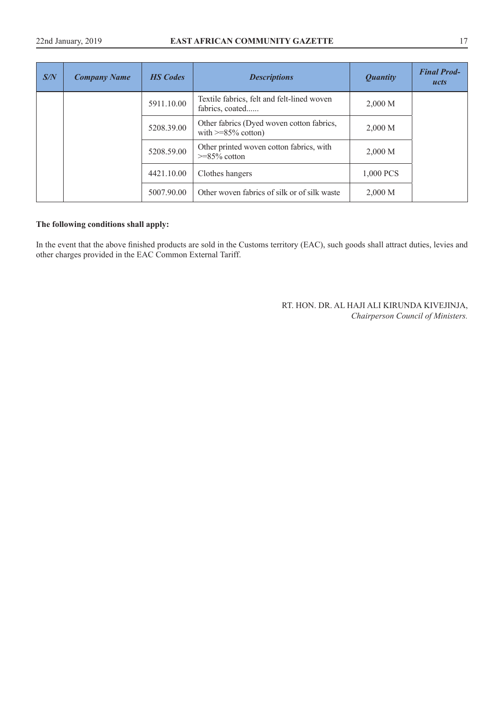| S/N | <b>Company Name</b> | <b>HS</b> Codes | <b>Descriptions</b>                                                   | <b>Quantity</b> | <b>Final Prod-</b><br>ucts |
|-----|---------------------|-----------------|-----------------------------------------------------------------------|-----------------|----------------------------|
|     |                     | 5911.10.00      | Textile fabrics, felt and felt-lined woven<br>fabrics, coated         | 2,000 M         |                            |
|     |                     | 5208.39.00      | Other fabrics (Dyed woven cotton fabrics,<br>with $\geq$ =85% cotton) | 2,000 M         |                            |
|     |                     | 5208.59.00      | Other printed woven cotton fabrics, with<br>$>=85\%$ cotton           | 2,000 M         |                            |
|     |                     | 4421.10.00      | Clothes hangers                                                       | 1,000 PCS       |                            |
|     |                     | 5007.90.00      | Other woven fabrics of silk or of silk waste                          | 2,000 M         |                            |

## **The following conditions shall apply:**

In the event that the above finished products are sold in the Customs territory (EAC), such goods shall attract duties, levies and other charges provided in the EAC Common External Tariff.

> RT. HON. DR. AL HAJI ALI KIRUNDA KIVEJINJA, *Chairperson Council of Ministers.*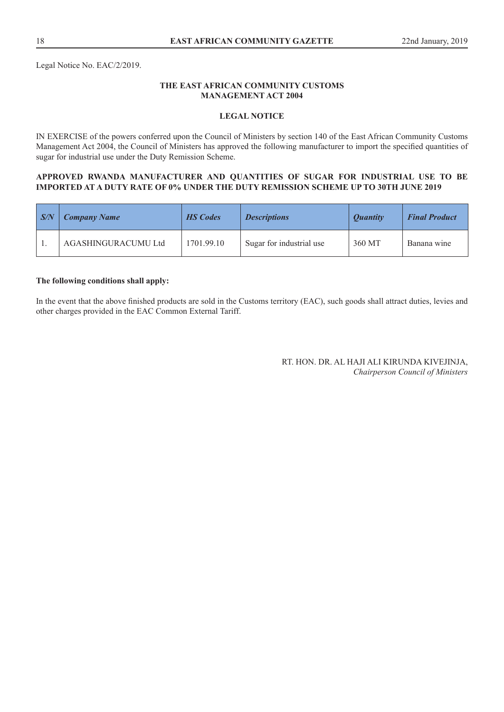Legal Notice No. EAC/2/2019.

## **THE EAST AFRICAN COMMUNITY CUSTOMS MANAGEMENT ACT 2004**

## **LEGAL NOTICE**

IN EXERCISE of the powers conferred upon the Council of Ministers by section 140 of the East African Community Customs Management Act 2004, the Council of Ministers has approved the following manufacturer to import the specified quantities of sugar for industrial use under the Duty Remission Scheme.

#### **APPROVED RWANDA MANUFACTURER AND QUANTITIES OF SUGAR FOR INDUSTRIAL USE TO BE IMPORTED AT A DUTY RATE OF 0% UNDER THE DUTY REMISSION SCHEME UP TO 30TH JUNE 2019**

| $\mid S/N$ | <b>Company Name</b> | <b>HS</b> Codes | <i>Descriptions</i>      | <i><b>Ouantity</b></i> | <b>Final Product</b> |
|------------|---------------------|-----------------|--------------------------|------------------------|----------------------|
|            | AGASHINGURACUMU Ltd | 1701.99.10      | Sugar for industrial use | 360 MT                 | Banana wine          |

## **The following conditions shall apply:**

In the event that the above finished products are sold in the Customs territory (EAC), such goods shall attract duties, levies and other charges provided in the EAC Common External Tariff.

> RT. HON. DR. AL HAJI ALI KIRUNDA KIVEJINJA, *Chairperson Council of Ministers*